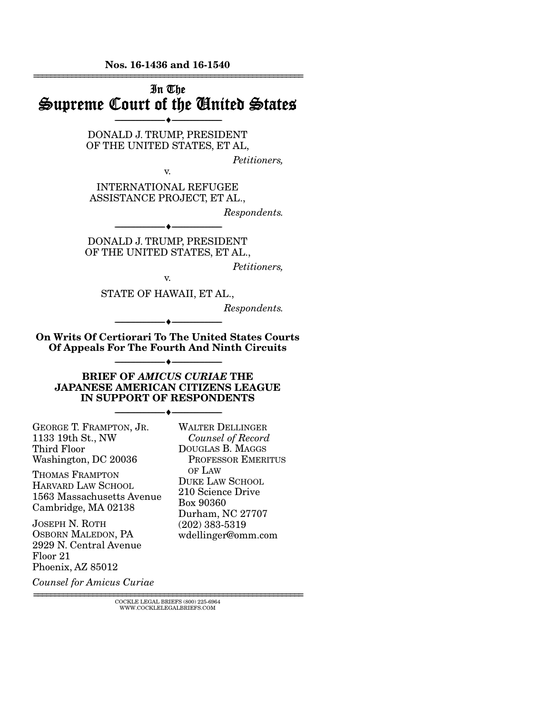Nos. 16-1436 and 16-1540

================================================================ In The Supreme Court of the United States --------------------------------- --------------------------------- DONALD J. TRUMP, PRESIDENT OF THE UNITED STATES, ET AL, *Petitioners,*  v. INTERNATIONAL REFUGEE ASSISTANCE PROJECT, ET AL., *Respondents.*  --------------------------------- --------------------------------- DONALD J. TRUMP, PRESIDENT OF THE UNITED STATES, ET AL., *Petitioners,*  v. STATE OF HAWAII, ET AL., *Respondents.*  --------------------------------- --------------------------------- On Writs Of Certiorari To The United States Courts Of Appeals For The Fourth And Ninth Circuits --------------------------------- --------------------------------- BRIEF OF *AMICUS CURIAE* THE JAPANESE AMERICAN CITIZENS LEAGUE IN SUPPORT OF RESPONDENTS --------------------------------- --------------------------------- GEORGE T. FRAMPTON, JR. 1133 19th St., NW Third Floor Washington, DC 20036 THOMAS FRAMPTON HARVARD LAW SCHOOL 1563 Massachusetts Avenue Cambridge, MA 02138 JOSEPH N. ROTH OSBORN MALEDON, PA 2929 N. Central Avenue Floor 21 Phoenix, AZ 85012 *Counsel for Amicus Curiae* WALTER DELLINGER  *Counsel of Record*  DOUGLAS B. MAGGS PROFESSOR EMERITUS OF LAW DUKE LAW SCHOOL 210 Science Drive Box 90360 Durham, NC 27707 (202) 383-5319 wdellinger@omm.com

 ${\rm COCKLE\;LEGAL\;BRIES}\; (800)\; 225\text{-}6964 \\ {\text{WWW.COCKLELEGALBRIES}\; \text{COM}}$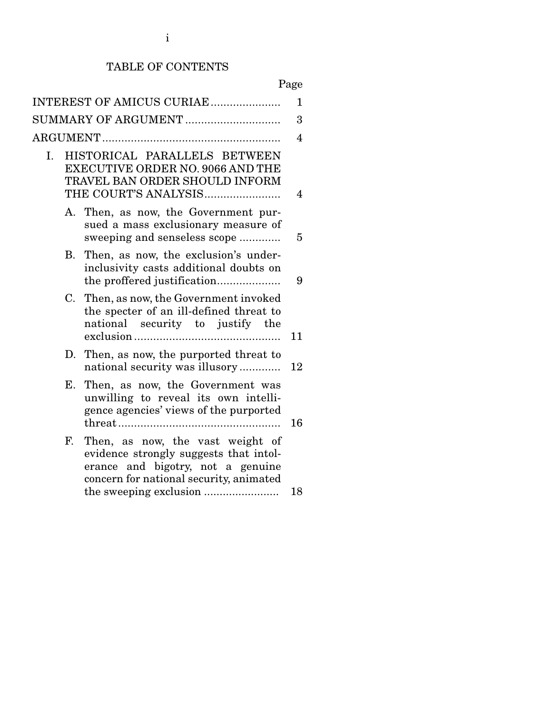## TABLE OF CONTENTS

# Page

| INTEREST OF AMICUS CURIAE |                                                                                                                                                            |                |  |  |
|---------------------------|------------------------------------------------------------------------------------------------------------------------------------------------------------|----------------|--|--|
| SUMMARY OF ARGUMENT       |                                                                                                                                                            |                |  |  |
|                           |                                                                                                                                                            | $\overline{4}$ |  |  |
| Ι.                        | HISTORICAL PARALLELS BETWEEN<br><b>EXECUTIVE ORDER NO. 9066 AND THE</b><br>TRAVEL BAN ORDER SHOULD INFORM<br>THE COURT'S ANALYSIS                          | 4              |  |  |
|                           | A. Then, as now, the Government pur-<br>sued a mass exclusionary measure of<br>sweeping and senseless scope                                                | 5              |  |  |
| В.                        | Then, as now, the exclusion's under-<br>inclusivity casts additional doubts on                                                                             | 9              |  |  |
|                           | Then, as now, the Government invoked<br>C.<br>the specter of an ill-defined threat to<br>national security to justify the                                  | 11             |  |  |
| D.                        | Then, as now, the purported threat to<br>national security was illusory                                                                                    | 12             |  |  |
| Е.                        | Then, as now, the Government was<br>unwilling to reveal its own intelli-<br>gence agencies' views of the purported                                         | 16             |  |  |
| F.                        | Then, as now, the vast weight of<br>evidence strongly suggests that intol-<br>erance and bigotry, not a genuine<br>concern for national security, animated | 18             |  |  |
|                           |                                                                                                                                                            |                |  |  |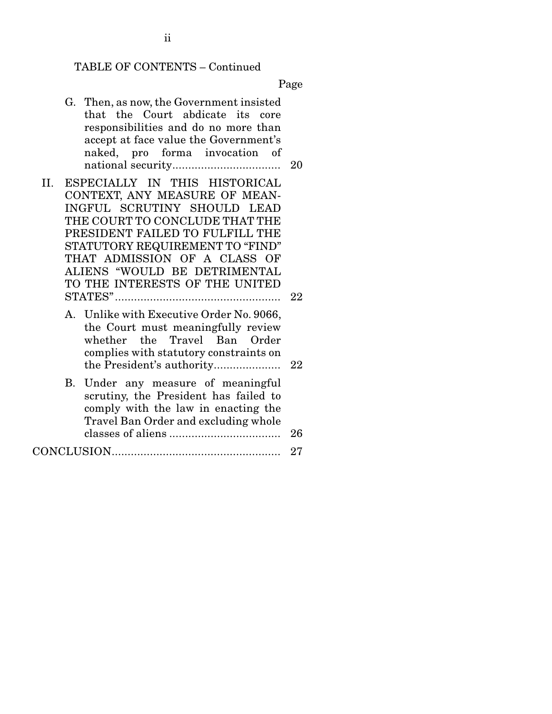# TABLE OF CONTENTS – Continued

Page

|     | G. Then, as now, the Government insisted<br>that the Court abdicate its core<br>responsibilities and do no more than<br>accept at face value the Government's<br>naked, pro forma invocation of                                                                                                         | 20 |
|-----|---------------------------------------------------------------------------------------------------------------------------------------------------------------------------------------------------------------------------------------------------------------------------------------------------------|----|
| II. | ESPECIALLY IN THIS HISTORICAL<br>CONTEXT, ANY MEASURE OF MEAN-<br>INGFUL SCRUTINY SHOULD LEAD<br>THE COURT TO CONCLUDE THAT THE<br>PRESIDENT FAILED TO FULFILL THE<br>STATUTORY REQUIREMENT TO "FIND"<br>THAT ADMISSION OF A CLASS OF<br>ALIENS "WOULD BE DETRIMENTAL<br>TO THE INTERESTS OF THE UNITED |    |
|     |                                                                                                                                                                                                                                                                                                         | 22 |
|     | A. Unlike with Executive Order No. 9066,<br>the Court must meaningfully review<br>whether the Travel Ban Order<br>complies with statutory constraints on<br>the President's authority                                                                                                                   | 22 |
|     | B. Under any measure of meaningful<br>scrutiny, the President has failed to<br>comply with the law in enacting the<br>Travel Ban Order and excluding whole                                                                                                                                              | 26 |
|     |                                                                                                                                                                                                                                                                                                         | 27 |
|     |                                                                                                                                                                                                                                                                                                         |    |

ii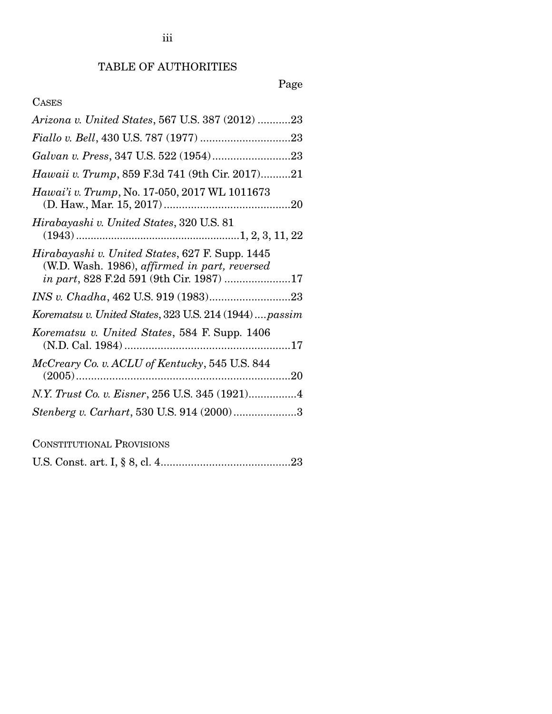## Page

## CASES

| Arizona v. United States, 567 U.S. 387 (2012) 23                                                                                                     |
|------------------------------------------------------------------------------------------------------------------------------------------------------|
|                                                                                                                                                      |
|                                                                                                                                                      |
| <i>Hawaii v. Trump</i> , 859 F.3d 741 (9th Cir. 2017)21                                                                                              |
| Hawai'i v. Trump, No. 17-050, 2017 WL 1011673                                                                                                        |
| Hirabayashi v. United States, 320 U.S. 81                                                                                                            |
| Hirabayashi v. United States, 627 F. Supp. 1445<br>(W.D. Wash. 1986), affirmed in part, reversed<br><i>in part</i> , 828 F.2d 591 (9th Cir. 1987) 17 |
|                                                                                                                                                      |
| Korematsu v. United States, 323 U.S. 214 (1944)  passim                                                                                              |
| Korematsu v. United States, 584 F. Supp. 1406                                                                                                        |
| McCreary Co. v. ACLU of Kentucky, 545 U.S. 844                                                                                                       |
|                                                                                                                                                      |
| Stenberg v. Carhart, 530 U.S. 914 (2000)3                                                                                                            |
| --------- <b>n</b>                                                                                                                                   |

CONSTITUTIONAL PROVISIONS

|--|--|--|--|--|--|--|--|--|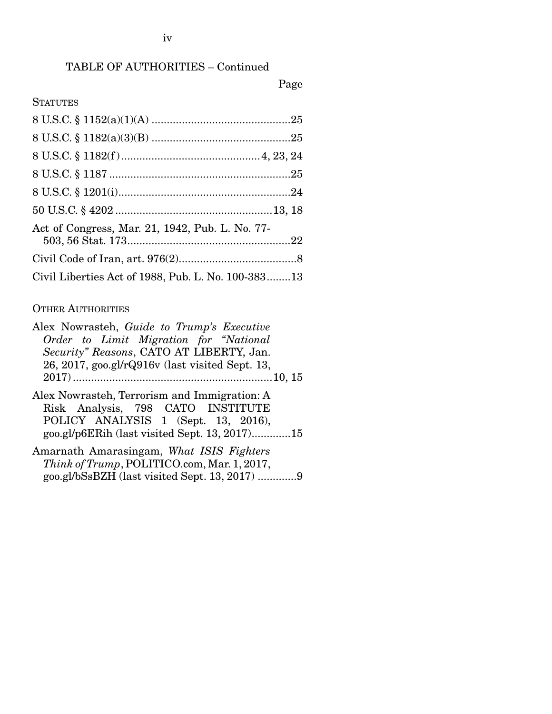## TABLE OF AUTHORITIES – Continued

## Page

## **STATUTES**

| Act of Congress, Mar. 21, 1942, Pub. L. No. 77-    |  |
|----------------------------------------------------|--|
|                                                    |  |
| Civil Liberties Act of 1988, Pub. L. No. 100-38313 |  |

#### OTHER AUTHORITIES

| Alex Nowrasteh, Guide to Trump's Executive                   |
|--------------------------------------------------------------|
| Order to Limit Migration for "National"                      |
| Security" Reasons, CATO AT LIBERTY, Jan.                     |
| $26, 2017, \text{geo.gl/r}$ Q $916v$ (last visited Sept. 13, |
|                                                              |
| Alex Nowrasteh, Terrorism and Immigration: A                 |
| Risk Analysis, 798 CATO INSTITUTE                            |
| POLICY ANALYSIS 1 (Sept. 13, 2016),                          |
| goo.gl/p6ERih (last visited Sept. 13, 2017)15                |
| Amarnath Amarasingam, What ISIS Fighters                     |
| Think of Trump, POLITICO.com, Mar. 1, 2017,                  |

goo.gl/bSsBZH (last visited Sept. 13, 2017) ............. 9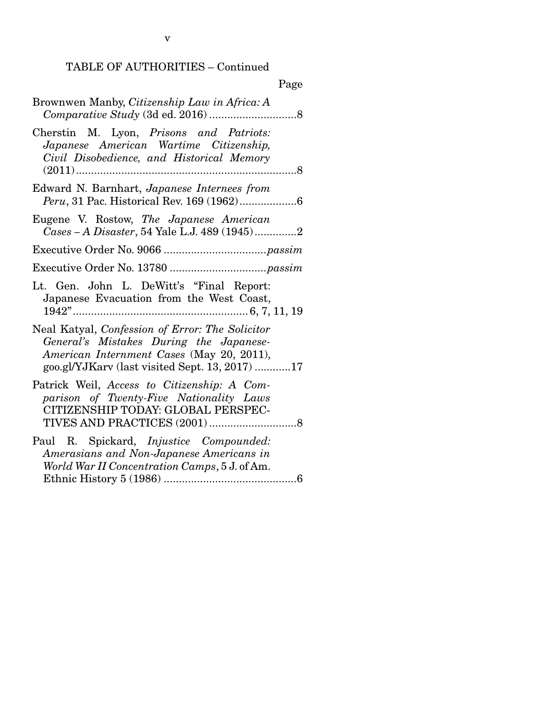## TABLE OF AUTHORITIES – Continued

| Page                                                                                                                                                                                      |
|-------------------------------------------------------------------------------------------------------------------------------------------------------------------------------------------|
| Brownwen Manby, Citizenship Law in Africa: A                                                                                                                                              |
| Cherstin M. Lyon, Prisons and Patriots:<br>Japanese American Wartime Citizenship,<br>Civil Disobedience, and Historical Memory<br>$(2011)$<br>.                                           |
| Edward N. Barnhart, Japanese Internees from                                                                                                                                               |
| Eugene V. Rostow, The Japanese American<br>Cases - A Disaster, 54 Yale L.J. 489 (1945)2                                                                                                   |
|                                                                                                                                                                                           |
|                                                                                                                                                                                           |
| Lt. Gen. John L. DeWitt's "Final Report:<br>Japanese Evacuation from the West Coast,                                                                                                      |
| Neal Katyal, Confession of Error: The Solicitor<br>General's Mistakes During the Japanese-<br>American Internment Cases (May 20, 2011),<br>goo.gl/YJKarv (last visited Sept. 13, 2017) 17 |
| Patrick Weil, Access to Citizenship: A Com-<br>parison of Twenty-Five Nationality Laws<br>CITIZENSHIP TODAY: GLOBAL PERSPEC-                                                              |
| Paul R. Spickard, <i>Injustice Compounded:</i><br>Amerasians and Non-Japanese Americans in<br>World War II Concentration Camps, 5 J. of Am.                                               |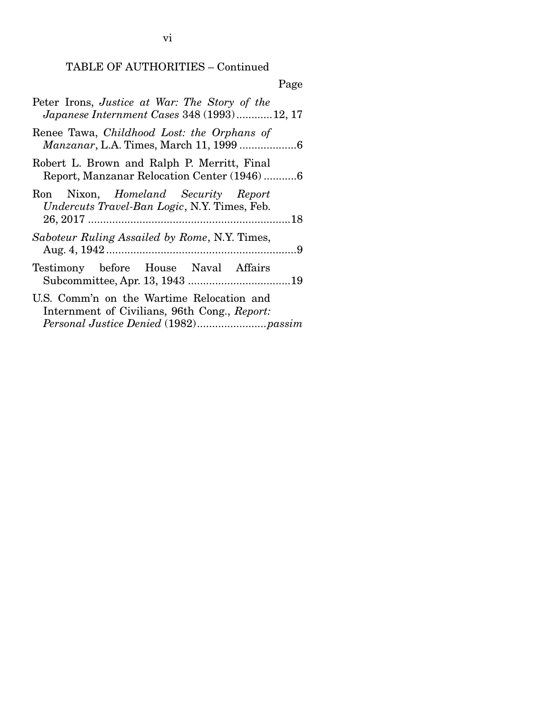TABLE OF AUTHORITIES – Continued

| Page                                                                                              |
|---------------------------------------------------------------------------------------------------|
| Peter Irons, Justice at War: The Story of the<br>Japanese Internment Cases 348 (1993)12, 17       |
| Renee Tawa, Childhood Lost: the Orphans of                                                        |
| Robert L. Brown and Ralph P. Merritt, Final<br>Report, Manzanar Relocation Center (1946)6         |
| Ron Nixon, <i>Homeland Security Report</i><br><i>Undercuts Travel-Ban Logic, N.Y. Times, Feb.</i> |
| Saboteur Ruling Assailed by Rome, N.Y. Times,                                                     |
| Testimony before House Naval Affairs                                                              |
| U.S. Comm'n on the Wartime Relocation and<br>Internment of Civilians, 96th Cong., Report:         |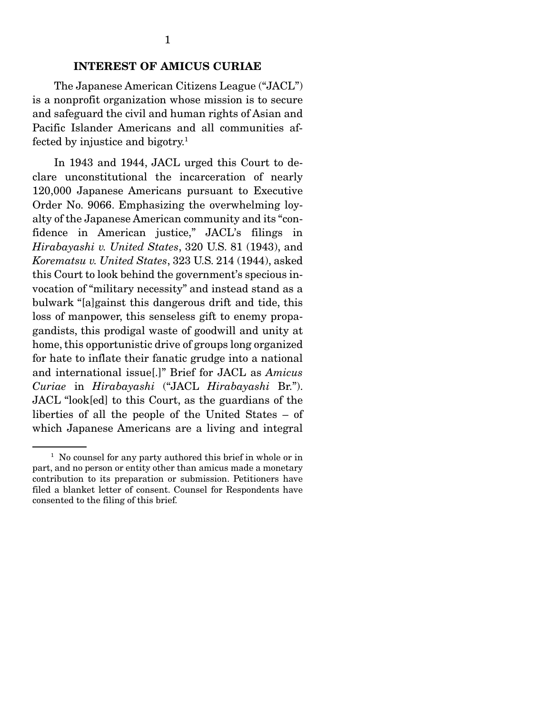#### INTEREST OF AMICUS CURIAE

 The Japanese American Citizens League ("JACL") is a nonprofit organization whose mission is to secure and safeguard the civil and human rights of Asian and Pacific Islander Americans and all communities affected by injustice and bigotry.<sup>1</sup>

 In 1943 and 1944, JACL urged this Court to declare unconstitutional the incarceration of nearly 120,000 Japanese Americans pursuant to Executive Order No. 9066. Emphasizing the overwhelming loyalty of the Japanese American community and its "confidence in American justice," JACL's filings in *Hirabayashi v. United States*, 320 U.S. 81 (1943), and *Korematsu v. United States*, 323 U.S. 214 (1944), asked this Court to look behind the government's specious invocation of "military necessity" and instead stand as a bulwark "[a]gainst this dangerous drift and tide, this loss of manpower, this senseless gift to enemy propagandists, this prodigal waste of goodwill and unity at home, this opportunistic drive of groups long organized for hate to inflate their fanatic grudge into a national and international issue[.]" Brief for JACL as *Amicus Curiae* in *Hirabayashi* ("JACL *Hirabayashi* Br."). JACL "look[ed] to this Court, as the guardians of the liberties of all the people of the United States – of which Japanese Americans are a living and integral

<sup>&</sup>lt;sup>1</sup> No counsel for any party authored this brief in whole or in part, and no person or entity other than amicus made a monetary contribution to its preparation or submission. Petitioners have filed a blanket letter of consent. Counsel for Respondents have consented to the filing of this brief.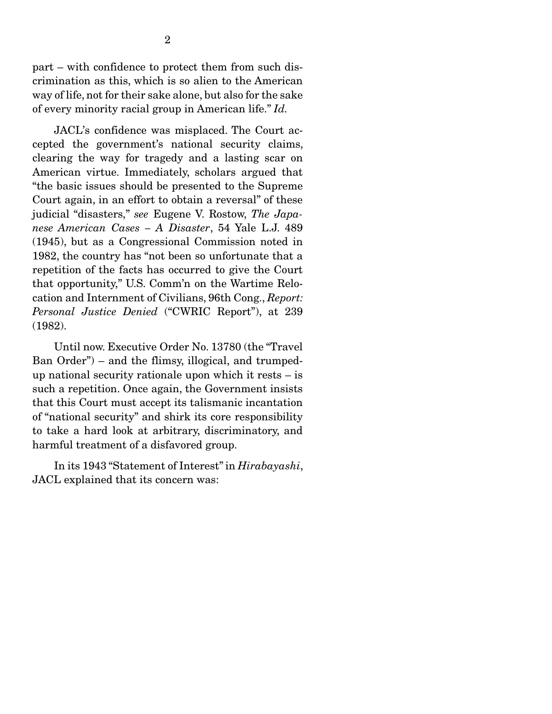part – with confidence to protect them from such discrimination as this, which is so alien to the American way of life, not for their sake alone, but also for the sake of every minority racial group in American life." *Id.*

 JACL's confidence was misplaced. The Court accepted the government's national security claims, clearing the way for tragedy and a lasting scar on American virtue. Immediately, scholars argued that "the basic issues should be presented to the Supreme Court again, in an effort to obtain a reversal" of these judicial "disasters," *see* Eugene V. Rostow, *The Japanese American Cases – A Disaster*, 54 Yale L.J. 489 (1945), but as a Congressional Commission noted in 1982, the country has "not been so unfortunate that a repetition of the facts has occurred to give the Court that opportunity," U.S. Comm'n on the Wartime Relocation and Internment of Civilians, 96th Cong., *Report: Personal Justice Denied* ("CWRIC Report"), at 239 (1982).

 Until now. Executive Order No. 13780 (the "Travel Ban Order") – and the flimsy, illogical, and trumpedup national security rationale upon which it rests – is such a repetition. Once again, the Government insists that this Court must accept its talismanic incantation of "national security" and shirk its core responsibility to take a hard look at arbitrary, discriminatory, and harmful treatment of a disfavored group.

 In its 1943 "Statement of Interest" in *Hirabayashi*, JACL explained that its concern was: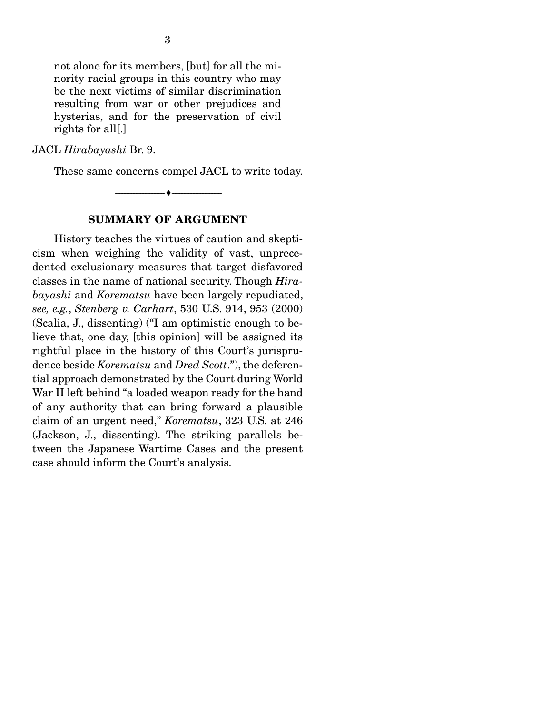not alone for its members, [but] for all the minority racial groups in this country who may be the next victims of similar discrimination resulting from war or other prejudices and hysterias, and for the preservation of civil rights for all[.]

#### JACL *Hirabayashi* Br. 9.

These same concerns compel JACL to write today.

SUMMARY OF ARGUMENT

--------------------------------- ---------------------------------

 History teaches the virtues of caution and skepticism when weighing the validity of vast, unprecedented exclusionary measures that target disfavored classes in the name of national security. Though *Hirabayashi* and *Korematsu* have been largely repudiated, *see, e.g.*, *Stenberg v. Carhart*, 530 U.S. 914, 953 (2000) (Scalia, J., dissenting) ("I am optimistic enough to believe that, one day, [this opinion] will be assigned its rightful place in the history of this Court's jurisprudence beside *Korematsu* and *Dred Scott*."), the deferential approach demonstrated by the Court during World War II left behind "a loaded weapon ready for the hand of any authority that can bring forward a plausible claim of an urgent need," *Korematsu*, 323 U.S. at 246 (Jackson, J., dissenting). The striking parallels between the Japanese Wartime Cases and the present case should inform the Court's analysis.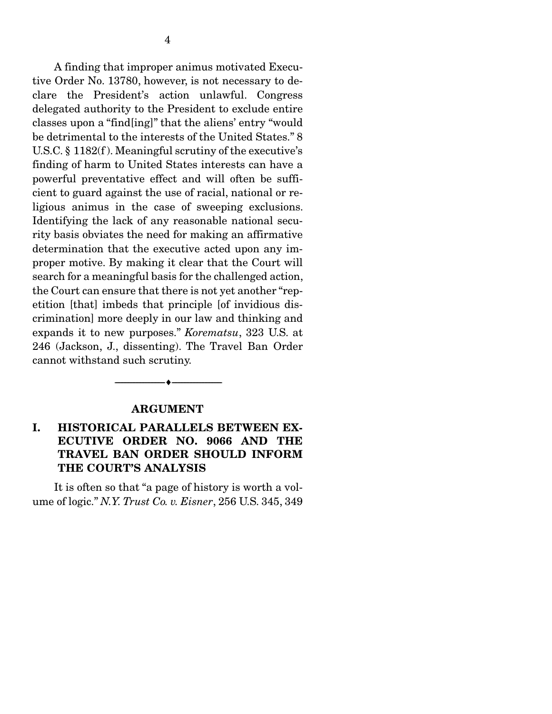A finding that improper animus motivated Executive Order No. 13780, however, is not necessary to declare the President's action unlawful. Congress delegated authority to the President to exclude entire classes upon a "find[ing]" that the aliens' entry "would be detrimental to the interests of the United States." 8 U.S.C. § 1182(f ). Meaningful scrutiny of the executive's finding of harm to United States interests can have a powerful preventative effect and will often be sufficient to guard against the use of racial, national or religious animus in the case of sweeping exclusions. Identifying the lack of any reasonable national security basis obviates the need for making an affirmative determination that the executive acted upon any improper motive. By making it clear that the Court will search for a meaningful basis for the challenged action, the Court can ensure that there is not yet another "repetition [that] imbeds that principle [of invidious discrimination] more deeply in our law and thinking and expands it to new purposes." *Korematsu*, 323 U.S. at 246 (Jackson, J., dissenting). The Travel Ban Order cannot withstand such scrutiny.

#### ARGUMENT

--------------------------------- ---------------------------------

## I. HISTORICAL PARALLELS BETWEEN EX-ECUTIVE ORDER NO. 9066 AND THE TRAVEL BAN ORDER SHOULD INFORM THE COURT'S ANALYSIS

 It is often so that "a page of history is worth a volume of logic." *N.Y. Trust Co. v. Eisner*, 256 U.S. 345, 349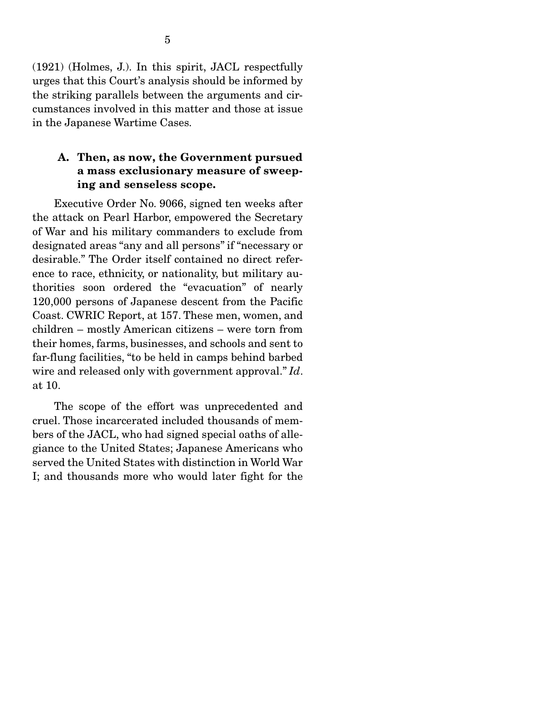(1921) (Holmes, J.). In this spirit, JACL respectfully urges that this Court's analysis should be informed by the striking parallels between the arguments and circumstances involved in this matter and those at issue in the Japanese Wartime Cases.

### A. Then, as now, the Government pursued a mass exclusionary measure of sweeping and senseless scope.

 Executive Order No. 9066, signed ten weeks after the attack on Pearl Harbor, empowered the Secretary of War and his military commanders to exclude from designated areas "any and all persons" if "necessary or desirable." The Order itself contained no direct reference to race, ethnicity, or nationality, but military authorities soon ordered the "evacuation" of nearly 120,000 persons of Japanese descent from the Pacific Coast. CWRIC Report, at 157. These men, women, and children – mostly American citizens – were torn from their homes, farms, businesses, and schools and sent to far-flung facilities, "to be held in camps behind barbed wire and released only with government approval." *Id*. at 10.

 The scope of the effort was unprecedented and cruel. Those incarcerated included thousands of members of the JACL, who had signed special oaths of allegiance to the United States; Japanese Americans who served the United States with distinction in World War I; and thousands more who would later fight for the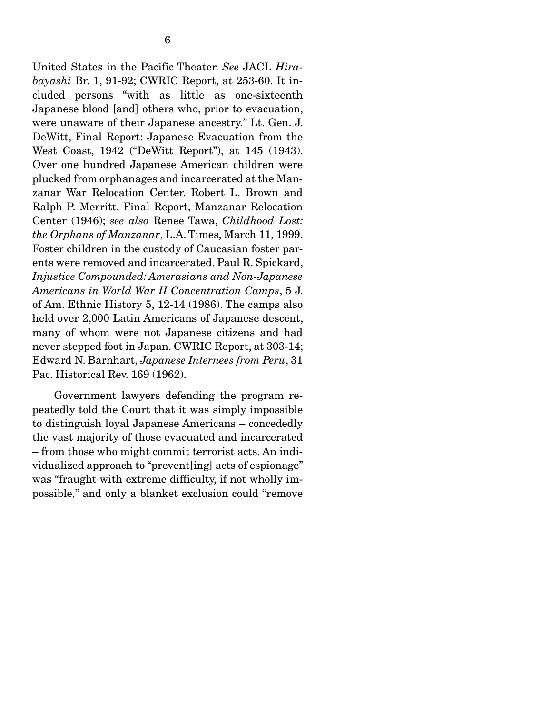United States in the Pacific Theater. *See* JACL *Hirabayashi* Br. 1, 91-92; CWRIC Report, at 253-60. It included persons "with as little as one-sixteenth Japanese blood [and] others who, prior to evacuation, were unaware of their Japanese ancestry." Lt. Gen. J. DeWitt, Final Report: Japanese Evacuation from the West Coast, 1942 ("DeWitt Report"), at 145 (1943). Over one hundred Japanese American children were plucked from orphanages and incarcerated at the Manzanar War Relocation Center. Robert L. Brown and Ralph P. Merritt, Final Report, Manzanar Relocation Center (1946); *see also* Renee Tawa, *Childhood Lost: the Orphans of Manzanar*, L.A. Times, March 11, 1999. Foster children in the custody of Caucasian foster parents were removed and incarcerated. Paul R. Spickard, *Injustice Compounded: Amerasians and Non-Japanese Americans in World War II Concentration Camps*, 5 J. of Am. Ethnic History 5, 12-14 (1986). The camps also held over 2,000 Latin Americans of Japanese descent, many of whom were not Japanese citizens and had never stepped foot in Japan. CWRIC Report, at 303-14; Edward N. Barnhart, *Japanese Internees from Peru*, 31 Pac. Historical Rev. 169 (1962).

 Government lawyers defending the program repeatedly told the Court that it was simply impossible to distinguish loyal Japanese Americans – concededly the vast majority of those evacuated and incarcerated – from those who might commit terrorist acts. An individualized approach to "prevent[ing] acts of espionage" was "fraught with extreme difficulty, if not wholly impossible," and only a blanket exclusion could "remove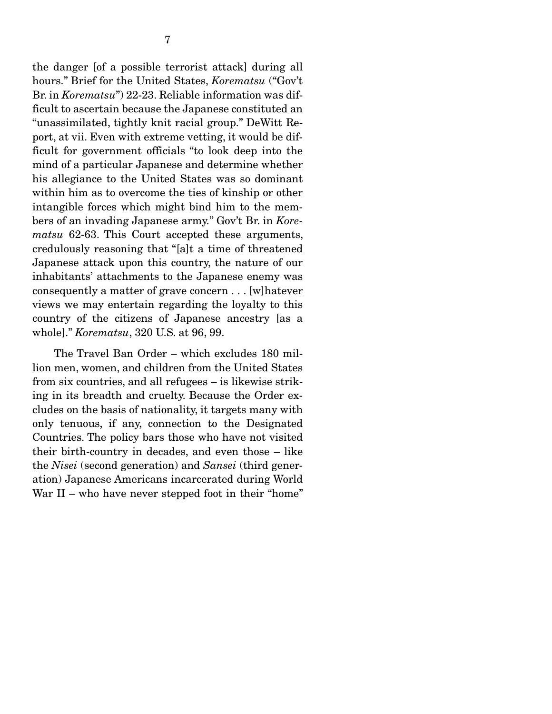the danger [of a possible terrorist attack] during all hours." Brief for the United States, *Korematsu* ("Gov't Br. in *Korematsu*") 22-23. Reliable information was difficult to ascertain because the Japanese constituted an "unassimilated, tightly knit racial group." DeWitt Report, at vii. Even with extreme vetting, it would be difficult for government officials "to look deep into the mind of a particular Japanese and determine whether his allegiance to the United States was so dominant within him as to overcome the ties of kinship or other intangible forces which might bind him to the members of an invading Japanese army." Gov't Br. in *Korematsu* 62-63. This Court accepted these arguments, credulously reasoning that "[a]t a time of threatened Japanese attack upon this country, the nature of our inhabitants' attachments to the Japanese enemy was consequently a matter of grave concern . . . [w]hatever views we may entertain regarding the loyalty to this country of the citizens of Japanese ancestry [as a whole]." *Korematsu*, 320 U.S. at 96, 99.

 The Travel Ban Order – which excludes 180 million men, women, and children from the United States from six countries, and all refugees – is likewise striking in its breadth and cruelty. Because the Order excludes on the basis of nationality, it targets many with only tenuous, if any, connection to the Designated Countries. The policy bars those who have not visited their birth-country in decades, and even those – like the *Nisei* (second generation) and *Sansei* (third generation) Japanese Americans incarcerated during World War II – who have never stepped foot in their "home"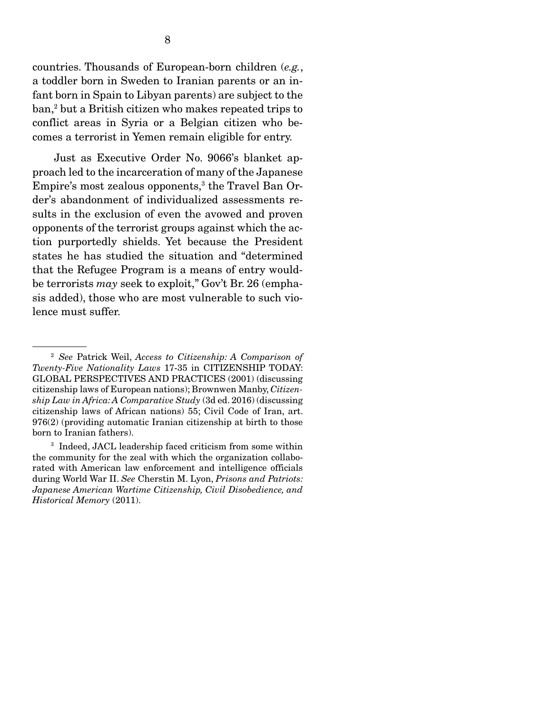countries. Thousands of European-born children (*e.g.*, a toddler born in Sweden to Iranian parents or an infant born in Spain to Libyan parents) are subject to the ban,2 but a British citizen who makes repeated trips to conflict areas in Syria or a Belgian citizen who becomes a terrorist in Yemen remain eligible for entry.

 Just as Executive Order No. 9066's blanket approach led to the incarceration of many of the Japanese Empire's most zealous opponents,<sup>3</sup> the Travel Ban Order's abandonment of individualized assessments results in the exclusion of even the avowed and proven opponents of the terrorist groups against which the action purportedly shields. Yet because the President states he has studied the situation and "determined that the Refugee Program is a means of entry wouldbe terrorists *may* seek to exploit," Gov't Br. 26 (emphasis added), those who are most vulnerable to such violence must suffer.

<sup>2</sup> *See* Patrick Weil, *Access to Citizenship: A Comparison of Twenty-Five Nationality Laws* 17-35 in CITIZENSHIP TODAY: GLOBAL PERSPECTIVES AND PRACTICES (2001) (discussing citizenship laws of European nations); Brownwen Manby, *Citizenship Law in Africa: A Comparative Study* (3d ed. 2016) (discussing citizenship laws of African nations) 55; Civil Code of Iran, art. 976(2) (providing automatic Iranian citizenship at birth to those born to Iranian fathers).

<sup>3</sup> Indeed, JACL leadership faced criticism from some within the community for the zeal with which the organization collaborated with American law enforcement and intelligence officials during World War II. *See* Cherstin M. Lyon, *Prisons and Patriots: Japanese American Wartime Citizenship, Civil Disobedience, and Historical Memory* (2011).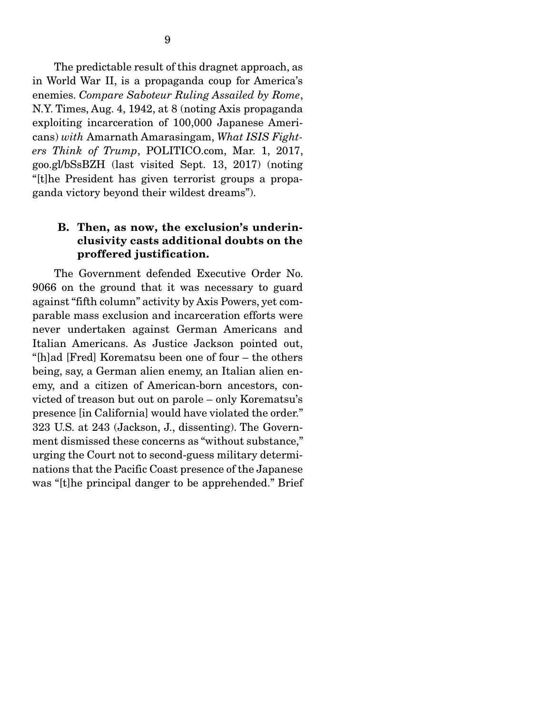The predictable result of this dragnet approach, as in World War II, is a propaganda coup for America's enemies. *Compare Saboteur Ruling Assailed by Rome*, N.Y. Times, Aug. 4, 1942, at 8 (noting Axis propaganda exploiting incarceration of 100,000 Japanese Americans) *with* Amarnath Amarasingam, *What ISIS Fighters Think of Trump*, POLITICO.com, Mar. 1, 2017, goo.gl/bSsBZH (last visited Sept. 13, 2017) (noting "[t]he President has given terrorist groups a propaganda victory beyond their wildest dreams").

### B. Then, as now, the exclusion's underinclusivity casts additional doubts on the proffered justification.

 The Government defended Executive Order No. 9066 on the ground that it was necessary to guard against "fifth column" activity by Axis Powers, yet comparable mass exclusion and incarceration efforts were never undertaken against German Americans and Italian Americans. As Justice Jackson pointed out, "[h]ad [Fred] Korematsu been one of four – the others being, say, a German alien enemy, an Italian alien enemy, and a citizen of American-born ancestors, convicted of treason but out on parole – only Korematsu's presence [in California] would have violated the order." 323 U.S. at 243 (Jackson, J., dissenting). The Government dismissed these concerns as "without substance," urging the Court not to second-guess military determinations that the Pacific Coast presence of the Japanese was "[t]he principal danger to be apprehended." Brief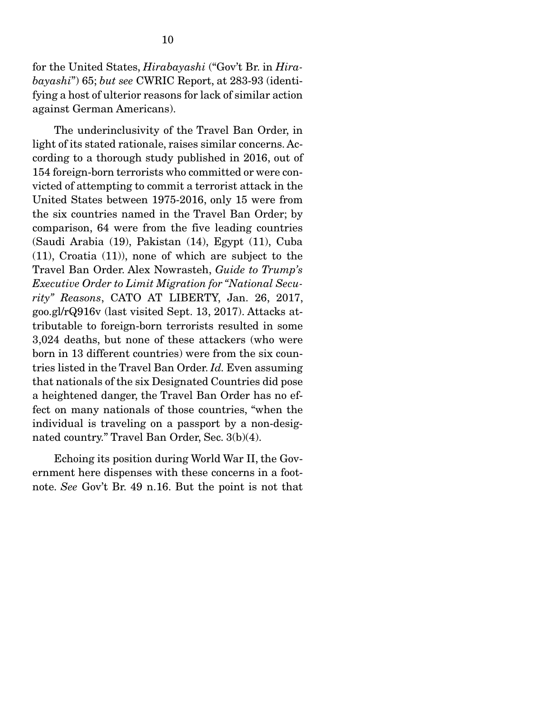for the United States, *Hirabayashi* ("Gov't Br. in *Hirabayashi*") 65; *but see* CWRIC Report, at 283-93 (identifying a host of ulterior reasons for lack of similar action against German Americans).

 The underinclusivity of the Travel Ban Order, in light of its stated rationale, raises similar concerns. According to a thorough study published in 2016, out of 154 foreign-born terrorists who committed or were convicted of attempting to commit a terrorist attack in the United States between 1975-2016, only 15 were from the six countries named in the Travel Ban Order; by comparison, 64 were from the five leading countries (Saudi Arabia (19), Pakistan (14), Egypt (11), Cuba (11), Croatia (11)), none of which are subject to the Travel Ban Order. Alex Nowrasteh, *Guide to Trump's Executive Order to Limit Migration for "National Security" Reasons*, CATO AT LIBERTY, Jan. 26, 2017, goo.gl/rQ916v (last visited Sept. 13, 2017). Attacks attributable to foreign-born terrorists resulted in some 3,024 deaths, but none of these attackers (who were born in 13 different countries) were from the six countries listed in the Travel Ban Order. *Id.* Even assuming that nationals of the six Designated Countries did pose a heightened danger, the Travel Ban Order has no effect on many nationals of those countries, "when the individual is traveling on a passport by a non-designated country." Travel Ban Order, Sec. 3(b)(4).

 Echoing its position during World War II, the Government here dispenses with these concerns in a footnote. *See* Gov't Br. 49 n.16. But the point is not that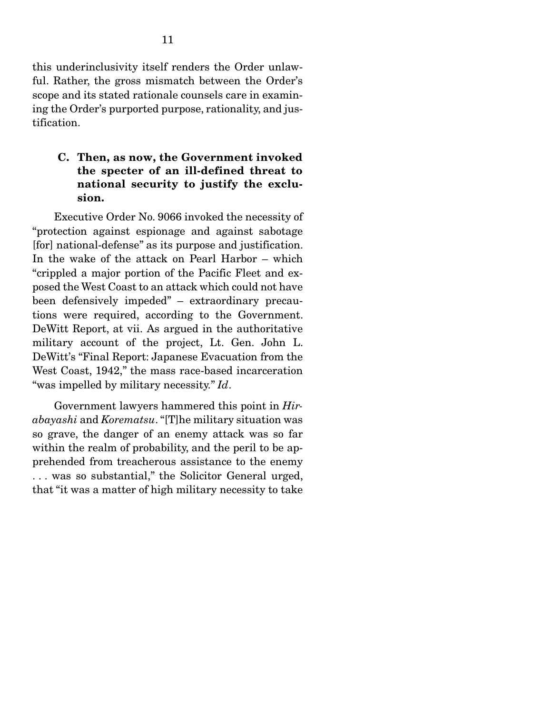this underinclusivity itself renders the Order unlawful. Rather, the gross mismatch between the Order's scope and its stated rationale counsels care in examining the Order's purported purpose, rationality, and justification.

### C. Then, as now, the Government invoked the specter of an ill-defined threat to national security to justify the exclusion.

 Executive Order No. 9066 invoked the necessity of "protection against espionage and against sabotage [for] national-defense" as its purpose and justification. In the wake of the attack on Pearl Harbor – which "crippled a major portion of the Pacific Fleet and exposed the West Coast to an attack which could not have been defensively impeded" – extraordinary precautions were required, according to the Government. DeWitt Report, at vii. As argued in the authoritative military account of the project, Lt. Gen. John L. DeWitt's "Final Report: Japanese Evacuation from the West Coast, 1942," the mass race-based incarceration "was impelled by military necessity." *Id*.

 Government lawyers hammered this point in *Hirabayashi* and *Korematsu*. "[T]he military situation was so grave, the danger of an enemy attack was so far within the realm of probability, and the peril to be apprehended from treacherous assistance to the enemy . . . was so substantial," the Solicitor General urged, that "it was a matter of high military necessity to take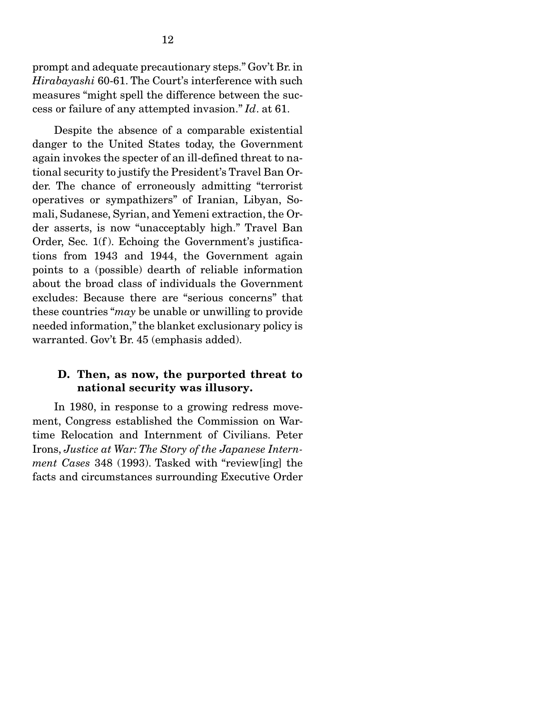prompt and adequate precautionary steps." Gov't Br. in *Hirabayashi* 60-61. The Court's interference with such measures "might spell the difference between the success or failure of any attempted invasion." *Id*. at 61.

 Despite the absence of a comparable existential danger to the United States today, the Government again invokes the specter of an ill-defined threat to national security to justify the President's Travel Ban Order. The chance of erroneously admitting "terrorist operatives or sympathizers" of Iranian, Libyan, Somali, Sudanese, Syrian, and Yemeni extraction, the Order asserts, is now "unacceptably high." Travel Ban Order, Sec. 1(f). Echoing the Government's justifications from 1943 and 1944, the Government again points to a (possible) dearth of reliable information about the broad class of individuals the Government excludes: Because there are "serious concerns" that these countries "*may* be unable or unwilling to provide needed information," the blanket exclusionary policy is warranted. Gov't Br. 45 (emphasis added).

#### D. Then, as now, the purported threat to national security was illusory.

 In 1980, in response to a growing redress movement, Congress established the Commission on Wartime Relocation and Internment of Civilians. Peter Irons, *Justice at War: The Story of the Japanese Internment Cases* 348 (1993). Tasked with "review[ing] the facts and circumstances surrounding Executive Order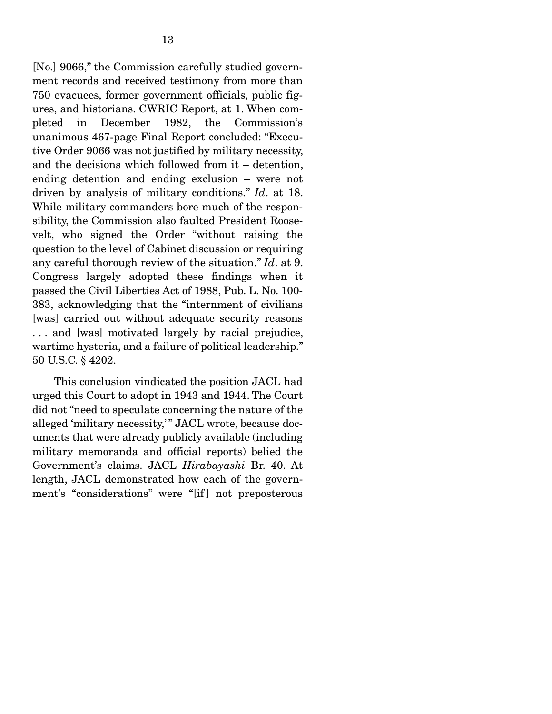[No.] 9066," the Commission carefully studied government records and received testimony from more than 750 evacuees, former government officials, public figures, and historians. CWRIC Report, at 1. When completed in December 1982, the Commission's unanimous 467-page Final Report concluded: "Executive Order 9066 was not justified by military necessity, and the decisions which followed from it – detention, ending detention and ending exclusion – were not driven by analysis of military conditions." *Id*. at 18. While military commanders bore much of the responsibility, the Commission also faulted President Roosevelt, who signed the Order "without raising the question to the level of Cabinet discussion or requiring any careful thorough review of the situation." *Id*. at 9. Congress largely adopted these findings when it passed the Civil Liberties Act of 1988, Pub. L. No. 100- 383, acknowledging that the "internment of civilians [was] carried out without adequate security reasons . . . and [was] motivated largely by racial prejudice, wartime hysteria, and a failure of political leadership." 50 U.S.C. § 4202.

 This conclusion vindicated the position JACL had urged this Court to adopt in 1943 and 1944. The Court did not "need to speculate concerning the nature of the alleged 'military necessity,'" JACL wrote, because documents that were already publicly available (including military memoranda and official reports) belied the Government's claims. JACL *Hirabayashi* Br. 40. At length, JACL demonstrated how each of the government's "considerations" were "[if] not preposterous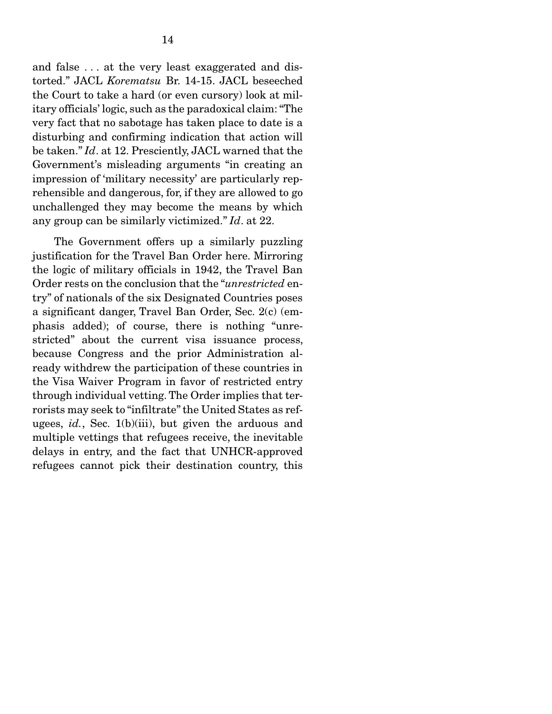and false . . . at the very least exaggerated and distorted." JACL *Korematsu* Br. 14-15. JACL beseeched the Court to take a hard (or even cursory) look at military officials' logic, such as the paradoxical claim: "The very fact that no sabotage has taken place to date is a disturbing and confirming indication that action will be taken." *Id*. at 12. Presciently, JACL warned that the Government's misleading arguments "in creating an impression of 'military necessity' are particularly reprehensible and dangerous, for, if they are allowed to go unchallenged they may become the means by which any group can be similarly victimized." *Id*. at 22.

 The Government offers up a similarly puzzling justification for the Travel Ban Order here. Mirroring the logic of military officials in 1942, the Travel Ban Order rests on the conclusion that the "*unrestricted* entry" of nationals of the six Designated Countries poses a significant danger, Travel Ban Order, Sec. 2(c) (emphasis added); of course, there is nothing "unrestricted" about the current visa issuance process, because Congress and the prior Administration already withdrew the participation of these countries in the Visa Waiver Program in favor of restricted entry through individual vetting. The Order implies that terrorists may seek to "infiltrate" the United States as refugees, *id.*, Sec. 1(b)(iii), but given the arduous and multiple vettings that refugees receive, the inevitable delays in entry, and the fact that UNHCR-approved refugees cannot pick their destination country, this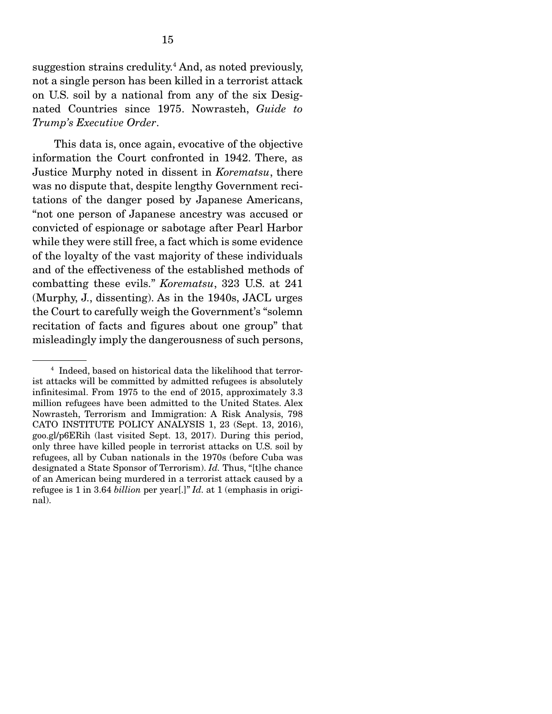suggestion strains credulity.<sup>4</sup> And, as noted previously, not a single person has been killed in a terrorist attack on U.S. soil by a national from any of the six Designated Countries since 1975. Nowrasteh, *Guide to Trump's Executive Order*.

 This data is, once again, evocative of the objective information the Court confronted in 1942. There, as Justice Murphy noted in dissent in *Korematsu*, there was no dispute that, despite lengthy Government recitations of the danger posed by Japanese Americans, "not one person of Japanese ancestry was accused or convicted of espionage or sabotage after Pearl Harbor while they were still free, a fact which is some evidence of the loyalty of the vast majority of these individuals and of the effectiveness of the established methods of combatting these evils." *Korematsu*, 323 U.S. at 241 (Murphy, J., dissenting). As in the 1940s, JACL urges the Court to carefully weigh the Government's "solemn recitation of facts and figures about one group" that misleadingly imply the dangerousness of such persons,

<sup>4</sup> Indeed, based on historical data the likelihood that terrorist attacks will be committed by admitted refugees is absolutely infinitesimal. From 1975 to the end of 2015, approximately 3.3 million refugees have been admitted to the United States. Alex Nowrasteh, Terrorism and Immigration: A Risk Analysis, 798 CATO INSTITUTE POLICY ANALYSIS 1, 23 (Sept. 13, 2016), goo.gl/p6ERih (last visited Sept. 13, 2017). During this period, only three have killed people in terrorist attacks on U.S. soil by refugees, all by Cuban nationals in the 1970s (before Cuba was designated a State Sponsor of Terrorism). *Id.* Thus, "[t]he chance of an American being murdered in a terrorist attack caused by a refugee is 1 in 3.64 *billion* per year[.]" *Id.* at 1 (emphasis in original).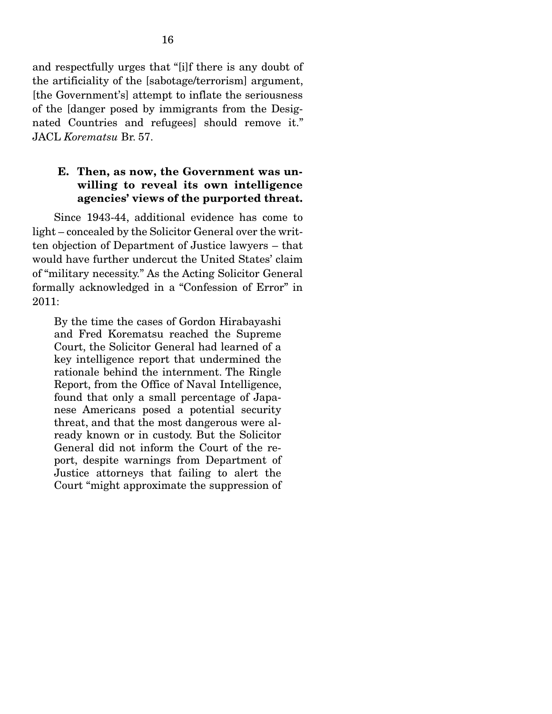and respectfully urges that "[i]f there is any doubt of the artificiality of the [sabotage/terrorism] argument, [the Government's] attempt to inflate the seriousness of the [danger posed by immigrants from the Designated Countries and refugees] should remove it." JACL *Korematsu* Br. 57.

### E. Then, as now, the Government was unwilling to reveal its own intelligence agencies' views of the purported threat.

 Since 1943-44, additional evidence has come to light – concealed by the Solicitor General over the written objection of Department of Justice lawyers – that would have further undercut the United States' claim of "military necessity." As the Acting Solicitor General formally acknowledged in a "Confession of Error" in 2011:

By the time the cases of Gordon Hirabayashi and Fred Korematsu reached the Supreme Court, the Solicitor General had learned of a key intelligence report that undermined the rationale behind the internment. The Ringle Report, from the Office of Naval Intelligence, found that only a small percentage of Japanese Americans posed a potential security threat, and that the most dangerous were already known or in custody. But the Solicitor General did not inform the Court of the report, despite warnings from Department of Justice attorneys that failing to alert the Court "might approximate the suppression of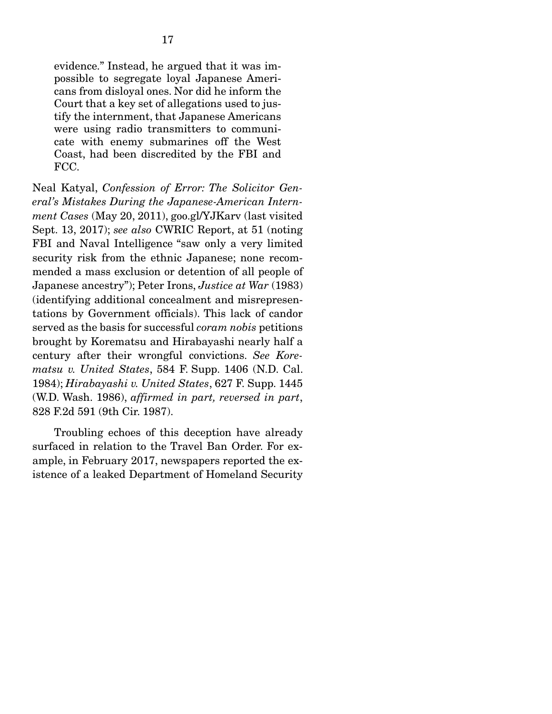evidence." Instead, he argued that it was impossible to segregate loyal Japanese Americans from disloyal ones. Nor did he inform the Court that a key set of allegations used to justify the internment, that Japanese Americans were using radio transmitters to communicate with enemy submarines off the West Coast, had been discredited by the FBI and FCC.

Neal Katyal, *Confession of Error: The Solicitor General's Mistakes During the Japanese-American Internment Cases* (May 20, 2011), goo.gl/YJKarv (last visited Sept. 13, 2017); *see also* CWRIC Report, at 51 (noting FBI and Naval Intelligence "saw only a very limited security risk from the ethnic Japanese; none recommended a mass exclusion or detention of all people of Japanese ancestry"); Peter Irons, *Justice at War* (1983) (identifying additional concealment and misrepresentations by Government officials). This lack of candor served as the basis for successful *coram nobis* petitions brought by Korematsu and Hirabayashi nearly half a century after their wrongful convictions. *See Korematsu v. United States*, 584 F. Supp. 1406 (N.D. Cal. 1984); *Hirabayashi v. United States*, 627 F. Supp. 1445 (W.D. Wash. 1986), *affirmed in part, reversed in part*, 828 F.2d 591 (9th Cir. 1987).

 Troubling echoes of this deception have already surfaced in relation to the Travel Ban Order. For example, in February 2017, newspapers reported the existence of a leaked Department of Homeland Security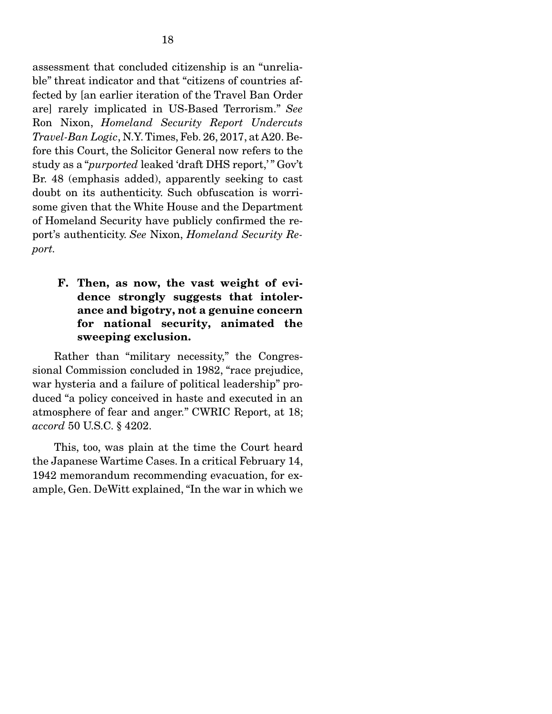assessment that concluded citizenship is an "unreliable" threat indicator and that "citizens of countries affected by [an earlier iteration of the Travel Ban Order are] rarely implicated in US-Based Terrorism." *See*  Ron Nixon, *Homeland Security Report Undercuts Travel-Ban Logic*, N.Y. Times, Feb. 26, 2017, at A20. Before this Court, the Solicitor General now refers to the study as a "*purported* leaked 'draft DHS report,' " Gov't Br. 48 (emphasis added), apparently seeking to cast doubt on its authenticity. Such obfuscation is worrisome given that the White House and the Department of Homeland Security have publicly confirmed the report's authenticity. *See* Nixon, *Homeland Security Report.* 

## F. Then, as now, the vast weight of evidence strongly suggests that intolerance and bigotry, not a genuine concern for national security, animated the sweeping exclusion.

 Rather than "military necessity," the Congressional Commission concluded in 1982, "race prejudice, war hysteria and a failure of political leadership" produced "a policy conceived in haste and executed in an atmosphere of fear and anger." CWRIC Report, at 18; *accord* 50 U.S.C. § 4202.

 This, too, was plain at the time the Court heard the Japanese Wartime Cases. In a critical February 14, 1942 memorandum recommending evacuation, for example, Gen. DeWitt explained, "In the war in which we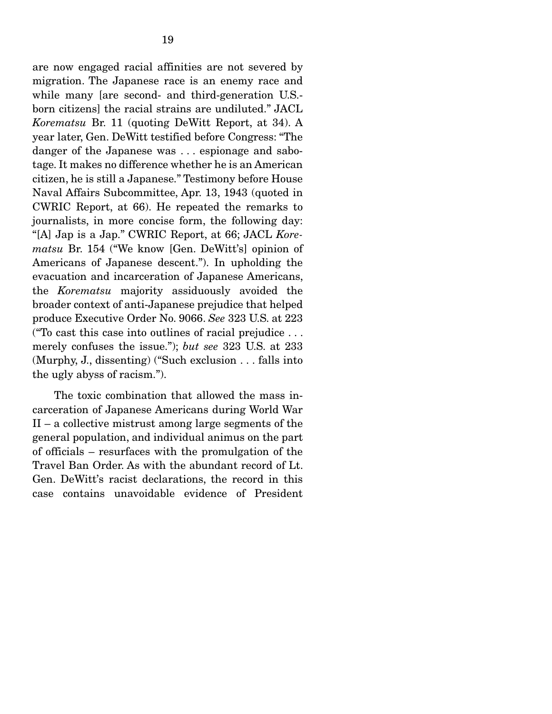are now engaged racial affinities are not severed by migration. The Japanese race is an enemy race and while many [are second- and third-generation U.S. born citizens] the racial strains are undiluted." JACL *Korematsu* Br. 11 (quoting DeWitt Report, at 34). A year later, Gen. DeWitt testified before Congress: "The danger of the Japanese was . . . espionage and sabotage. It makes no difference whether he is an American citizen, he is still a Japanese." Testimony before House Naval Affairs Subcommittee, Apr. 13, 1943 (quoted in CWRIC Report, at 66). He repeated the remarks to journalists, in more concise form, the following day: "[A] Jap is a Jap." CWRIC Report, at 66; JACL *Korematsu* Br. 154 ("We know [Gen. DeWitt's] opinion of Americans of Japanese descent."). In upholding the evacuation and incarceration of Japanese Americans, the *Korematsu* majority assiduously avoided the broader context of anti-Japanese prejudice that helped produce Executive Order No. 9066. *See* 323 U.S. at 223 ("To cast this case into outlines of racial prejudice . . . merely confuses the issue."); *but see* 323 U.S. at 233 (Murphy, J., dissenting) ("Such exclusion . . . falls into the ugly abyss of racism.").

 The toxic combination that allowed the mass incarceration of Japanese Americans during World War II – a collective mistrust among large segments of the general population, and individual animus on the part of officials – resurfaces with the promulgation of the Travel Ban Order. As with the abundant record of Lt. Gen. DeWitt's racist declarations, the record in this case contains unavoidable evidence of President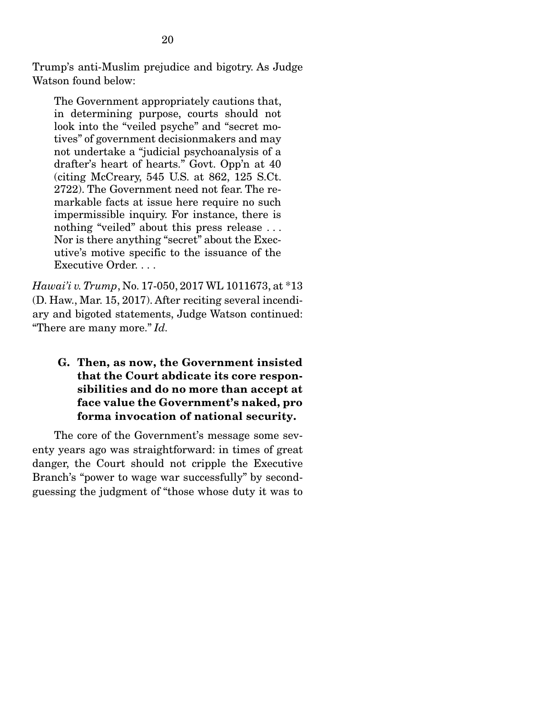Trump's anti-Muslim prejudice and bigotry. As Judge Watson found below:

The Government appropriately cautions that, in determining purpose, courts should not look into the "veiled psyche" and "secret motives" of government decisionmakers and may not undertake a "judicial psychoanalysis of a drafter's heart of hearts." Govt. Opp'n at 40 (citing McCreary, 545 U.S. at 862, 125 S.Ct. 2722). The Government need not fear. The remarkable facts at issue here require no such impermissible inquiry. For instance, there is nothing "veiled" about this press release ... Nor is there anything "secret" about the Executive's motive specific to the issuance of the Executive Order. . . .

*Hawai'i v. Trump*, No. 17-050, 2017 WL 1011673, at \*13 (D. Haw., Mar. 15, 2017). After reciting several incendiary and bigoted statements, Judge Watson continued: "There are many more." *Id.*

G. Then, as now, the Government insisted that the Court abdicate its core responsibilities and do no more than accept at face value the Government's naked, pro forma invocation of national security.

 The core of the Government's message some seventy years ago was straightforward: in times of great danger, the Court should not cripple the Executive Branch's "power to wage war successfully" by secondguessing the judgment of "those whose duty it was to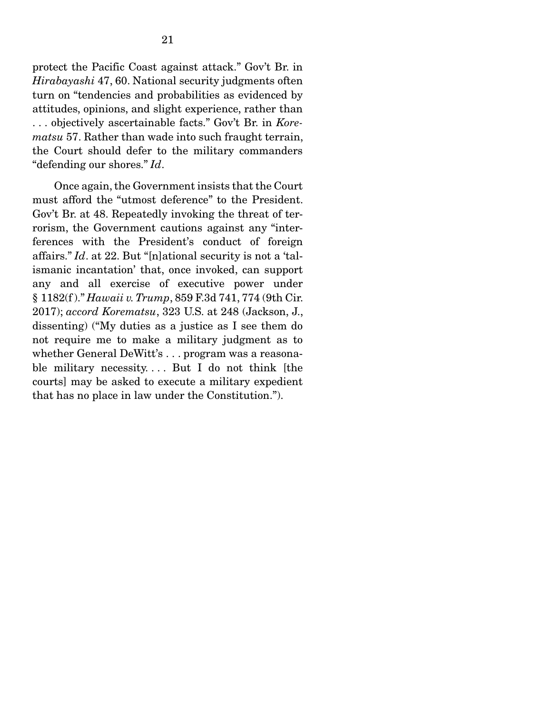protect the Pacific Coast against attack." Gov't Br. in *Hirabayashi* 47, 60. National security judgments often turn on "tendencies and probabilities as evidenced by attitudes, opinions, and slight experience, rather than . . . objectively ascertainable facts." Gov't Br. in *Korematsu* 57. Rather than wade into such fraught terrain, the Court should defer to the military commanders "defending our shores." *Id*.

 Once again, the Government insists that the Court must afford the "utmost deference" to the President. Gov't Br. at 48. Repeatedly invoking the threat of terrorism, the Government cautions against any "interferences with the President's conduct of foreign affairs." *Id*. at 22. But "[n]ational security is not a 'talismanic incantation' that, once invoked, can support any and all exercise of executive power under § 1182(f )." *Hawaii v. Trump*, 859 F.3d 741, 774 (9th Cir. 2017); *accord Korematsu*, 323 U.S. at 248 (Jackson, J., dissenting) ("My duties as a justice as I see them do not require me to make a military judgment as to whether General DeWitt's . . . program was a reasonable military necessity.... But I do not think [the courts] may be asked to execute a military expedient that has no place in law under the Constitution.").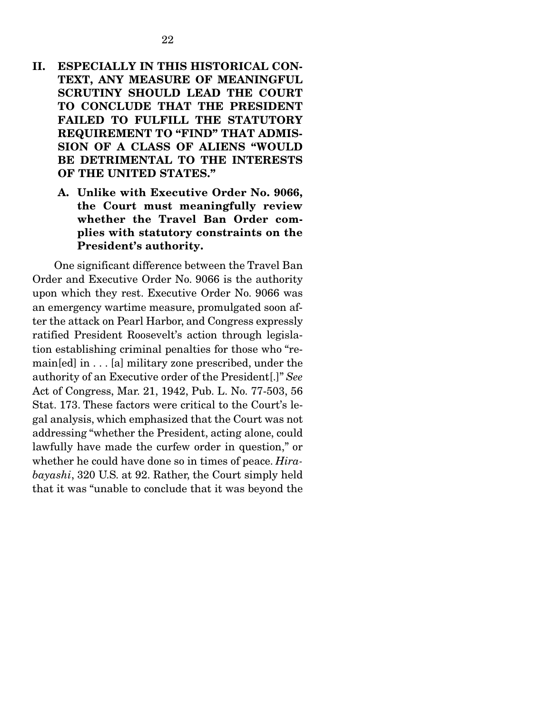- II. ESPECIALLY IN THIS HISTORICAL CON-TEXT, ANY MEASURE OF MEANINGFUL SCRUTINY SHOULD LEAD THE COURT TO CONCLUDE THAT THE PRESIDENT FAILED TO FULFILL THE STATUTORY REQUIREMENT TO "FIND" THAT ADMIS-SION OF A CLASS OF ALIENS "WOULD BE DETRIMENTAL TO THE INTERESTS OF THE UNITED STATES."
	- A. Unlike with Executive Order No. 9066, the Court must meaningfully review whether the Travel Ban Order complies with statutory constraints on the President's authority.

 One significant difference between the Travel Ban Order and Executive Order No. 9066 is the authority upon which they rest. Executive Order No. 9066 was an emergency wartime measure, promulgated soon after the attack on Pearl Harbor, and Congress expressly ratified President Roosevelt's action through legislation establishing criminal penalties for those who "remain[ed] in . . . [a] military zone prescribed, under the authority of an Executive order of the President[.]" *See*  Act of Congress, Mar. 21, 1942, Pub. L. No. 77-503, 56 Stat. 173. These factors were critical to the Court's legal analysis, which emphasized that the Court was not addressing "whether the President, acting alone, could lawfully have made the curfew order in question," or whether he could have done so in times of peace. *Hirabayashi*, 320 U.S. at 92. Rather, the Court simply held that it was "unable to conclude that it was beyond the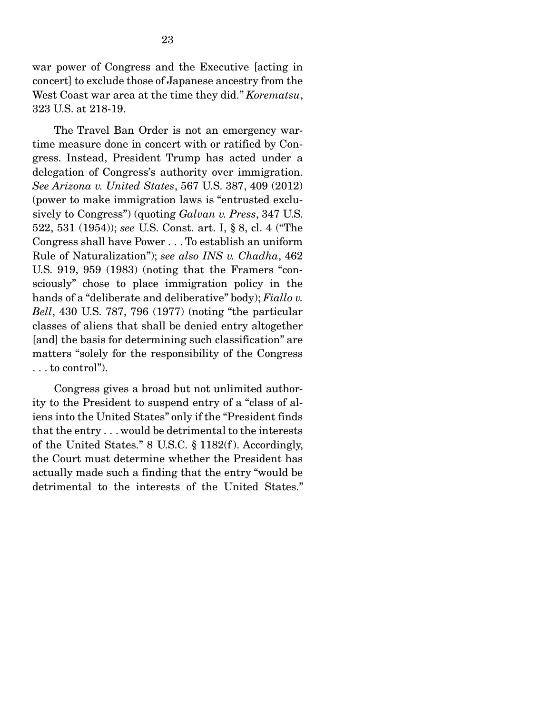war power of Congress and the Executive [acting in concert] to exclude those of Japanese ancestry from the West Coast war area at the time they did." *Korematsu*, 323 U.S. at 218-19.

 The Travel Ban Order is not an emergency wartime measure done in concert with or ratified by Congress. Instead, President Trump has acted under a delegation of Congress's authority over immigration. *See Arizona v. United States*, 567 U.S. 387, 409 (2012) (power to make immigration laws is "entrusted exclusively to Congress") (quoting *Galvan v. Press*, 347 U.S. 522, 531 (1954)); *see* U.S. Const. art. I, § 8, cl. 4 ("The Congress shall have Power . . . To establish an uniform Rule of Naturalization"); *see also INS v. Chadha*, 462 U.S. 919, 959 (1983) (noting that the Framers "consciously" chose to place immigration policy in the hands of a "deliberate and deliberative" body); *Fiallo v. Bell*, 430 U.S. 787, 796 (1977) (noting "the particular classes of aliens that shall be denied entry altogether [and] the basis for determining such classification" are matters "solely for the responsibility of the Congress . . . to control").

 Congress gives a broad but not unlimited authority to the President to suspend entry of a "class of aliens into the United States" only if the "President finds that the entry . . . would be detrimental to the interests of the United States." 8 U.S.C. § 1182(f ). Accordingly, the Court must determine whether the President has actually made such a finding that the entry "would be detrimental to the interests of the United States."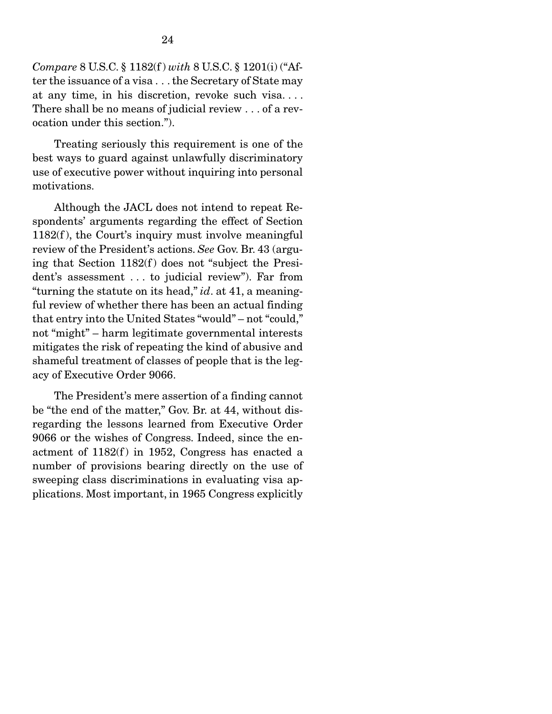*Compare* 8 U.S.C. § 1182(f ) *with* 8 U.S.C. § 1201(i) ("After the issuance of a visa . . . the Secretary of State may at any time, in his discretion, revoke such visa. . . . There shall be no means of judicial review . . . of a revocation under this section.").

 Treating seriously this requirement is one of the best ways to guard against unlawfully discriminatory use of executive power without inquiring into personal motivations.

 Although the JACL does not intend to repeat Respondents' arguments regarding the effect of Section 1182(f ), the Court's inquiry must involve meaningful review of the President's actions. *See* Gov. Br. 43 (arguing that Section  $1182(f)$  does not "subject the President's assessment . . . to judicial review"). Far from "turning the statute on its head," *id*. at 41, a meaningful review of whether there has been an actual finding that entry into the United States "would" – not "could," not "might" – harm legitimate governmental interests mitigates the risk of repeating the kind of abusive and shameful treatment of classes of people that is the legacy of Executive Order 9066.

 The President's mere assertion of a finding cannot be "the end of the matter," Gov. Br. at 44, without disregarding the lessons learned from Executive Order 9066 or the wishes of Congress. Indeed, since the enactment of  $1182(f)$  in 1952, Congress has enacted a number of provisions bearing directly on the use of sweeping class discriminations in evaluating visa applications. Most important, in 1965 Congress explicitly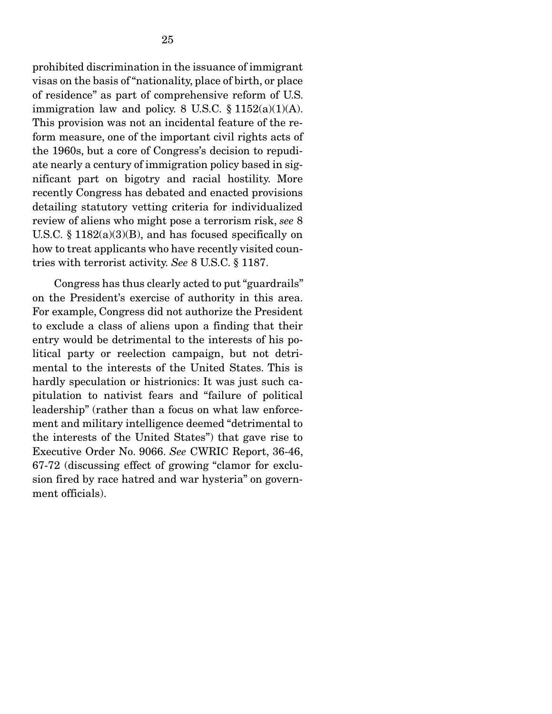prohibited discrimination in the issuance of immigrant visas on the basis of "nationality, place of birth, or place of residence" as part of comprehensive reform of U.S. immigration law and policy. 8 U.S.C.  $\S 1152(a)(1)(A)$ . This provision was not an incidental feature of the reform measure, one of the important civil rights acts of the 1960s, but a core of Congress's decision to repudiate nearly a century of immigration policy based in significant part on bigotry and racial hostility. More recently Congress has debated and enacted provisions detailing statutory vetting criteria for individualized review of aliens who might pose a terrorism risk, *see* 8 U.S.C.  $\S$  1182(a)(3)(B), and has focused specifically on how to treat applicants who have recently visited countries with terrorist activity. *See* 8 U.S.C. § 1187.

 Congress has thus clearly acted to put "guardrails" on the President's exercise of authority in this area. For example, Congress did not authorize the President to exclude a class of aliens upon a finding that their entry would be detrimental to the interests of his political party or reelection campaign, but not detrimental to the interests of the United States. This is hardly speculation or histrionics: It was just such capitulation to nativist fears and "failure of political leadership" (rather than a focus on what law enforcement and military intelligence deemed "detrimental to the interests of the United States") that gave rise to Executive Order No. 9066. *See* CWRIC Report, 36-46, 67-72 (discussing effect of growing "clamor for exclusion fired by race hatred and war hysteria" on government officials).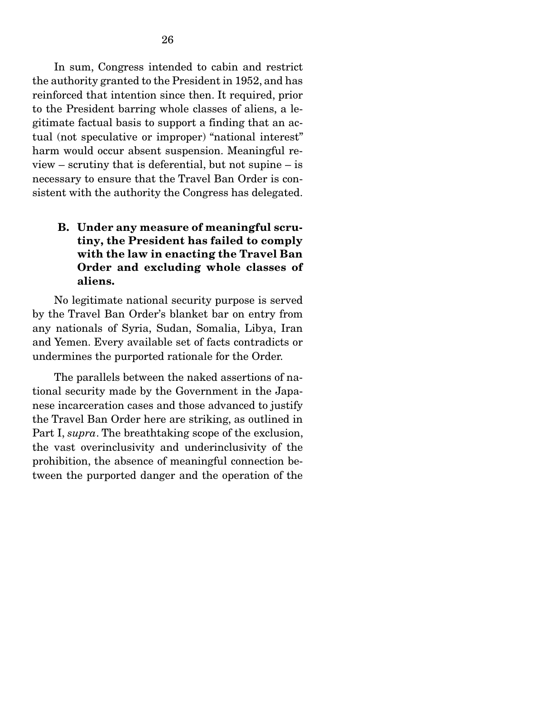In sum, Congress intended to cabin and restrict the authority granted to the President in 1952, and has reinforced that intention since then. It required, prior to the President barring whole classes of aliens, a legitimate factual basis to support a finding that an actual (not speculative or improper) "national interest" harm would occur absent suspension. Meaningful review – scrutiny that is deferential, but not supine – is necessary to ensure that the Travel Ban Order is consistent with the authority the Congress has delegated.

## B. Under any measure of meaningful scrutiny, the President has failed to comply with the law in enacting the Travel Ban Order and excluding whole classes of aliens.

 No legitimate national security purpose is served by the Travel Ban Order's blanket bar on entry from any nationals of Syria, Sudan, Somalia, Libya, Iran and Yemen. Every available set of facts contradicts or undermines the purported rationale for the Order.

 The parallels between the naked assertions of national security made by the Government in the Japanese incarceration cases and those advanced to justify the Travel Ban Order here are striking, as outlined in Part I, *supra*. The breathtaking scope of the exclusion, the vast overinclusivity and underinclusivity of the prohibition, the absence of meaningful connection between the purported danger and the operation of the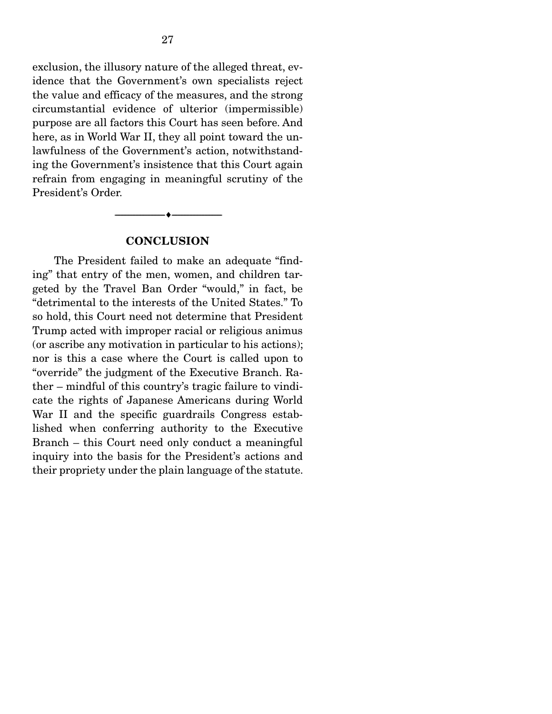exclusion, the illusory nature of the alleged threat, evidence that the Government's own specialists reject the value and efficacy of the measures, and the strong circumstantial evidence of ulterior (impermissible) purpose are all factors this Court has seen before. And here, as in World War II, they all point toward the unlawfulness of the Government's action, notwithstanding the Government's insistence that this Court again refrain from engaging in meaningful scrutiny of the President's Order.

#### **CONCLUSION**

--------------------------------- ---------------------------------

 The President failed to make an adequate "finding" that entry of the men, women, and children targeted by the Travel Ban Order "would," in fact, be "detrimental to the interests of the United States." To so hold, this Court need not determine that President Trump acted with improper racial or religious animus (or ascribe any motivation in particular to his actions); nor is this a case where the Court is called upon to "override" the judgment of the Executive Branch. Rather – mindful of this country's tragic failure to vindicate the rights of Japanese Americans during World War II and the specific guardrails Congress established when conferring authority to the Executive Branch – this Court need only conduct a meaningful inquiry into the basis for the President's actions and their propriety under the plain language of the statute.